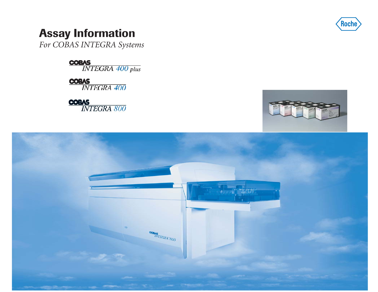

## **Assay Information**

*For COBAS INTEGRA Systems*

**COBAS**<br>INTEGRA 400 plus

**COBAS**<br>INTEGRA 400

**COBAS**<br>INTEGRA 800



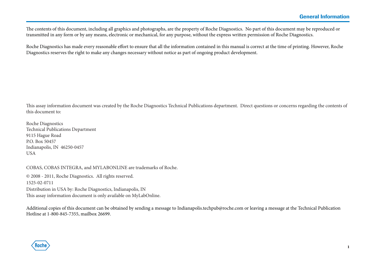The contents of this document, including all graphics and photographs, are the property of Roche Diagnostics. No part of this document may be reproduced or transmitted in any form or by any means, electronic or mechanical, for any purpose, without the express written permission of Roche Diagnostics.

Roche Diagnostics has made every reasonable effort to ensure that all the information contained in this manual is correct at the time of printing. However, Roche Diagnostics reserves the right to make any changes necessary without notice as part of ongoing product development.

This assay information document was created by the Roche Diagnostics Technical Publications department. Direct questions or concerns regarding the contents of this document to:

Roche Diagnostics Technical Publications Department 9115 Hague Road P.O. Box 50457Indianapolis, IN 46250-0457 USA

COBAS, COBAS INTEGRA, and MYLABONLINE are trademarks of Roche.

© 2008 - 2011, Roche Diagnostics. All rights reserved. 1525-02-0711 Distribution in USA by: Roche Diagnostics, Indianapolis, IN This assay information document is only available on MyLabOnline.

Additional copies of this document can be obtained by sending a message to Indianapolis.techpub@roche.com or leaving a message at the Technical Publication Hotline at 1-800-845-7355, mailbox 26699.

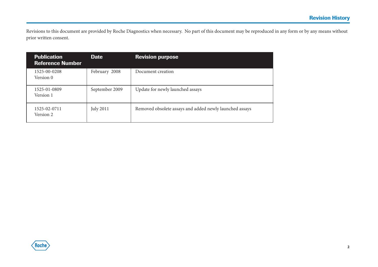Revisions to this document are provided by Roche Diagnostics when necessary. No part of this document may be reproduced in any form or by any means without prior written consent.

| <b>Publication</b><br><b>Reference Number</b> | <b>Date</b>      | <b>Revision purpose</b>                                 |
|-----------------------------------------------|------------------|---------------------------------------------------------|
| 1525-00-0208<br>Version 0                     | February 2008    | Document creation                                       |
| 1525-01-0809<br>Version 1                     | September 2009   | Update for newly launched assays                        |
| 1525-02-0711<br>Version 2                     | <b>July 2011</b> | Removed obsolete assays and added newly launched assays |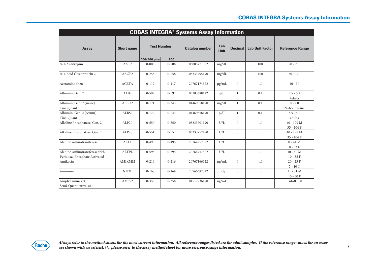|                                                                | <b>COBAS INTEGRA® Systems Assay Information</b> |                    |           |                       |                    |                |                        |                              |  |  |  |  |
|----------------------------------------------------------------|-------------------------------------------------|--------------------|-----------|-----------------------|--------------------|----------------|------------------------|------------------------------|--|--|--|--|
| <b>Assay</b>                                                   | <b>Short name</b>                               | <b>Test Number</b> |           | <b>Catalog number</b> | Lab<br><b>Unit</b> | <b>Decimal</b> | <b>Lab Unit Factor</b> | <b>Reference Range</b>       |  |  |  |  |
|                                                                |                                                 | 400/400 plus       | 800       |                       |                    |                |                        |                              |  |  |  |  |
| $\alpha$ -1-Antitrypsin                                        | AAT <sub>2</sub>                                | $0 - 008$          | $0 - 008$ | 03005771322           | mg/dL              | $\overline{0}$ | 100                    | $90 - 200$                   |  |  |  |  |
| $\alpha$ -1-Acid Glycoprotein 2                                | AAGP2                                           | $0 - 258$          | $0 - 258$ | 03333795190           | mg/dL              | $\overline{0}$ | 100                    | $50 - 120$                   |  |  |  |  |
| Acetaminophen                                                  | <b>ACETA</b>                                    | $0 - 117$          | $0 - 117$ | 20767174322           | $\mu$ g/mL         | $\overline{0}$ | 1.0                    | $10 - 30$                    |  |  |  |  |
| Albumin, Gen. 2                                                | ALB <sub>2</sub>                                | $0 - 592$          | $0 - 592$ | 03183688122           | g/dL               | $\mathbf{1}$   | 0.1                    | $3.5 - 5.2$<br>Adults        |  |  |  |  |
| Albumin, Gen. 2 (urine)<br>Tina-Quant                          | ALBU2                                           | $0 - 171$          | $0 - 343$ | 04469658190           | mg/dL              | $\mathbf{1}$   | 0.1                    | $0 - 2.0$<br>24-hour urine   |  |  |  |  |
| Albumin, Gen. 2 (serum)<br>Tina-Quant                          | ALBS2                                           | $0 - 172$          | $0 - 243$ | 04469658190           | g/dL               | $\mathbf{1}$   | 0.1                    | $3.5 - 5.2$<br>adults        |  |  |  |  |
| Alkaline Phosphatase, Gen. 2                                   | ALP2L                                           | $0 - 550$          | $0 - 550$ | 03333701190           | U/L                | $\overline{0}$ | 1.0                    | $40 - 129$ M<br>$35 - 104$ F |  |  |  |  |
| Alkaline Phosphatase, Gen. 2                                   | ALP2S                                           | $0 - 551$          | $0 - 551$ | 03333752190           | U/L                | $\Omega$       | 1.0                    | $40 - 129$ M<br>$35 - 104$ F |  |  |  |  |
| Alanine Aminotransferase                                       | <b>ALTL</b>                                     | $0 - 495$          | $0 - 495$ | 20764957322           | U/L                | $\overline{0}$ | 1.0                    | $0 - 41$ M<br>$0 - 33 F$     |  |  |  |  |
| Alanine Aminotransferase with<br>Pyridoxal Phosphate Activated | <b>ALTPL</b>                                    | $0 - 595$          | $0 - 595$ | 20764957322           | U/L                | $\overline{0}$ | 1.0                    | $10 - 50 M$<br>$10 - 35 F$   |  |  |  |  |
| Amikacin                                                       | <b>AMIKMM</b>                                   | $0 - 216$          | $0 - 216$ | 20767166322           | $\mu$ g/mL         | $\overline{0}$ | 1.0                    | $20 - 25P$<br>$5 - 10T$      |  |  |  |  |
| Ammonia                                                        | NH3L                                            | $0 - 168$          | $0 - 168$ | 20766682322           | umol/L             | $\overline{0}$ | 1.0                    | $11 - 51M$<br>$16 - 60 F$    |  |  |  |  |
| Amphetamines II<br>Semi-Quantitative 300                       | AM3S2                                           | $0 - 358$          | $0 - 358$ | 04512936190           | ng/mL              | $\overline{0}$ | 1.0                    | Cutoff 300                   |  |  |  |  |

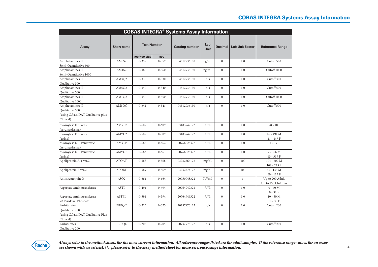|                                                                                                               | <b>COBAS INTEGRA® Systems Assay Information</b> |                    |           |                       |                    |                  |                        |                                       |  |  |  |
|---------------------------------------------------------------------------------------------------------------|-------------------------------------------------|--------------------|-----------|-----------------------|--------------------|------------------|------------------------|---------------------------------------|--|--|--|
| <b>Assay</b>                                                                                                  | <b>Short name</b>                               | <b>Test Number</b> |           | <b>Catalog number</b> | Lab<br><b>Unit</b> | <b>Decimal</b>   | <b>Lab Unit Factor</b> | <b>Reference Range</b>                |  |  |  |
|                                                                                                               |                                                 | 400/400 plus       | 800       |                       |                    |                  |                        |                                       |  |  |  |
| Amphetamines II                                                                                               | AM5S2                                           | $0 - 359$          | $0 - 359$ | 04512936190           | ng/mL              | $\mathbf{0}$     | 1.0                    | Cutoff 500                            |  |  |  |
| Semi-Quantitative 500                                                                                         |                                                 |                    |           |                       |                    |                  |                        |                                       |  |  |  |
| Amphetamines II                                                                                               | AM1S2                                           | $0 - 360$          | $0 - 360$ | 04512936190           | ng/mL              | $\mathbf{0}$     | 1.0                    | Cutoff 1000                           |  |  |  |
| Semi-Quantitative 1000<br>Amphetamines II                                                                     | AM3Q2                                           | $0 - 330$          | $0 - 330$ | 04512936190           | n/a                | $\overline{0}$   | 1.0                    | Cutoff 300                            |  |  |  |
| Qualitative 300                                                                                               |                                                 |                    |           |                       |                    |                  |                        |                                       |  |  |  |
| Amphetamines II                                                                                               | AM5Q2                                           | $0 - 340$          | $0 - 340$ | 04512936190           | n/a                | $\boldsymbol{0}$ | 1.0                    | Cutoff 500                            |  |  |  |
| Qualitative 500                                                                                               |                                                 |                    |           |                       |                    |                  |                        |                                       |  |  |  |
| Amphetamines II                                                                                               | AM1Q2                                           | $0 - 350$          | $0 - 350$ | 04512936190           | n/a                | $\overline{0}$   | 1.0                    | Cutoff 1000                           |  |  |  |
| Qualitative 1000                                                                                              |                                                 |                    |           |                       |                    |                  |                        |                                       |  |  |  |
| Amphetamines II<br>Qualitative 500<br>(using C.f.a.s. DAT Qualitative plus                                    | AM5QC                                           | $0 - 341$          | $0 - 341$ | 04512936190           | n/a                | $\mathbf{0}$     | 1.0                    | Cutoff 500                            |  |  |  |
| Clinical)                                                                                                     |                                                 |                    |           |                       |                    |                  |                        |                                       |  |  |  |
| $\alpha$ -Amylase EPS ver.2                                                                                   | AMYL2                                           | $0 - 609$          | $0 - 609$ | 03183742122           | U/L                | $\mathbf{0}$     | 1.0                    | $28 - 100$                            |  |  |  |
| (serum/plasma)                                                                                                |                                                 |                    |           |                       |                    |                  |                        |                                       |  |  |  |
| $\alpha$ -Amylase EPS ver.2                                                                                   | AMYU2                                           | $0 - 509$          | $0 - 509$ | 03183742122           | U/L                | $\overline{0}$   | 1.0                    | $16 - 491$ M                          |  |  |  |
| (urine)                                                                                                       |                                                 |                    |           |                       |                    |                  |                        | 21 - 447 F                            |  |  |  |
| $\alpha$ -Amylase EPS Pancreatic<br>(serum/plasma)                                                            | AMY-P                                           | $0 - 662$          | $0 - 662$ | 20766623322           | U/L                | $\overline{0}$   | 1.0                    | $13 - 53$                             |  |  |  |
| $\alpha$ -Amylase EPS Pancreatic                                                                              | AMYUP                                           | $0 - 663$          | $0 - 663$ | 20766623322           | U/L                | $\mathbf{0}$     | 1.0                    | $7 - 356 M$                           |  |  |  |
| (urine)                                                                                                       |                                                 |                    |           |                       |                    |                  |                        | $13 - 319$ F                          |  |  |  |
| Apoliprotein A-1 ver.2                                                                                        | APOAT                                           | $0 - 568$          | $0 - 568$ | 03032566122           | mg/dL              | $\overline{0}$   | 100                    | $104 - 202$ M<br>$108 - 225 F$        |  |  |  |
| Apoliprotein B ver.2                                                                                          | <b>APOBT</b>                                    | $0 - 569$          | $0 - 569$ | 03032574122           | mg/dL              | $\theta$         | 100                    | 66 - 133 M<br>$60 - 117 F$            |  |  |  |
| Antistreotolysin O                                                                                            | ASO <sub>2</sub>                                | $0 - 664$          | $0 - 664$ | 20750948322           | IU/mL              | $\mathbf{0}$     | $\mathbf{1}$           | Up to 200 Adult<br>Up to 150 Children |  |  |  |
| Aspartate Aminotransferase                                                                                    | <b>ASTL</b>                                     | $0 - 494$          | $0 - 494$ | 20764949322           | U/L                | $\mathbf{0}$     | 1.0                    | $0 - 40$ M<br>$0 - 32 F$              |  |  |  |
| Aspartate Aminotransferase                                                                                    | <b>ASTPL</b>                                    | $0 - 594$          | $0 - 594$ | 20764949322           | U/L                | $\mathbf{0}$     | 1.0                    | $10 - 50 M$                           |  |  |  |
| w/ Pyridoxal Phospate<br>Barbiturates<br>Qualitative 200<br>(using C.f.a.s. DAT Qualitative Plus<br>Clinical) | <b>BRBQC</b>                                    | $0 - 325$          | $0 - 325$ | 20737976122           | n/a                | $\overline{0}$   | 1.0                    | $10$ - $35\ \mathrm{F}$<br>Cutoff 200 |  |  |  |
| <b>Barbiturates</b><br>Qualitative 200                                                                        | <b>BRBOL</b>                                    | $0 - 205$          | $0 - 205$ | 20737976122           | n/a                | $\overline{0}$   | 1.0                    | Cutoff <sub>200</sub>                 |  |  |  |

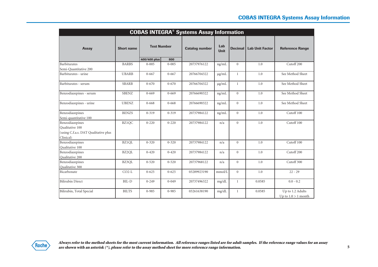|                                                                                         | <b>COBAS INTEGRA<sup>®</sup> Systems Assay Information</b> |                                    |           |                       |                    |                |                        |                                           |  |  |  |  |
|-----------------------------------------------------------------------------------------|------------------------------------------------------------|------------------------------------|-----------|-----------------------|--------------------|----------------|------------------------|-------------------------------------------|--|--|--|--|
| <b>Assay</b>                                                                            | <b>Short name</b>                                          | <b>Test Number</b><br>400/400 plus | 800       | <b>Catalog number</b> | Lab<br><b>Unit</b> | <b>Decimal</b> | <b>Lab Unit Factor</b> | <b>Reference Range</b>                    |  |  |  |  |
| Barbiturates                                                                            | <b>BARBS</b>                                               | $0 - 005$                          | $0 - 005$ | 20737976122           | ng/mL              | $\overline{0}$ | 1.0                    | Cutoff <sub>200</sub>                     |  |  |  |  |
| Semi-Quantitative 200                                                                   |                                                            |                                    |           |                       |                    |                |                        |                                           |  |  |  |  |
| Barbiturates - urine                                                                    | <b>UBARB</b>                                               | $0 - 667$                          | $0 - 667$ | 20766704322           | $\mu$ g/mL         | $\mathbf{1}$   | 1.0                    | See Method Sheet                          |  |  |  |  |
| Barbiturates - serum                                                                    | <b>SBARB</b>                                               | $0 - 670$                          | $0 - 670$ | 20766704322           | $\mu$ g/mL         | $\mathbf{1}$   | 1.0                    | See Method Sheet                          |  |  |  |  |
| Benzodiazepines - serum                                                                 | <b>SBENZ</b>                                               | $0 - 669$                          | $0 - 669$ | 20766690322           | ng/mL              | $\overline{0}$ | 1.0                    | See Method Sheet                          |  |  |  |  |
| Benzodiazepines - urine                                                                 | <b>UBENZ</b>                                               | $0 - 668$                          | $0 - 668$ | 20766690322           | ng/mL              | $\overline{0}$ | 1.0                    | See Method Sheet                          |  |  |  |  |
| Benzodiazepines<br>Semi-quantitative 100                                                | <b>BENZS</b>                                               | $0 - 319$                          | $0 - 319$ | 20737984122           | ng/mL              | $\overline{0}$ | 1.0                    | Cutoff 100                                |  |  |  |  |
| Benzodiazepines<br>Qualitative 100<br>(using C.f.a.s. DAT Qualitative plus<br>Clinical) | <b>BZ1QC</b>                                               | $0 - 220$                          | $0 - 220$ | 20737984122           | n/a                | $\overline{0}$ | 1.0                    | Cutoff 100                                |  |  |  |  |
| Benzodiazepines<br>Qualitative 100                                                      | BZ1OL                                                      | $0 - 320$                          | $0 - 320$ | 20737984122           | n/a                | $\overline{0}$ | 1.0                    | Cutoff 100                                |  |  |  |  |
| Benzodiazepines<br>Qualitative 200                                                      | BZ2OL                                                      | $0 - 420$                          | $0 - 420$ | 20737984122           | n/a                | $\overline{0}$ | 1.0                    | Cutoff <sub>200</sub>                     |  |  |  |  |
| Benzodiazepines<br>Qualitative 300                                                      | BZ3QL                                                      | $0 - 520$                          | $0 - 520$ | 20737968122           | n/a                | $\overline{0}$ | 1.0                    | Cutoff 300                                |  |  |  |  |
| Bicarbonate                                                                             | $CO2-L$                                                    | $0 - 625$                          | $0 - 625$ | 03289923190           | mmol/L             | $\overline{0}$ | 1.0                    | $22 - 29$                                 |  |  |  |  |
| <b>Bilirubin Direct</b>                                                                 | BIL-D                                                      | $0 - 249$                          | $0 - 049$ | 20737496322           | mg/dL              | $\mathbf{1}$   | 0.0585                 | $0.0 - 0.2$                               |  |  |  |  |
| Bilirubin, Total Special                                                                | <b>BILTS</b>                                               | $0 - 985$                          | $0 - 985$ | 03261638190           | $mg/dL$            | $\mathbf{1}$   | 0.0585                 | Up to 1.2 Adults<br>Up to $1.0 > 1$ month |  |  |  |  |



**5**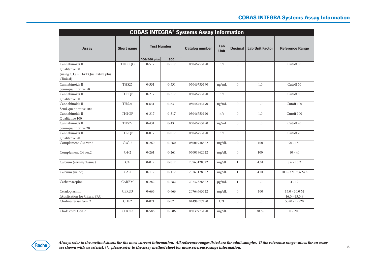| <b>COBAS INTEGRA® Systems Assay Information</b>                                        |                    |                    |           |                       |                    |                |                        |                                    |  |  |  |
|----------------------------------------------------------------------------------------|--------------------|--------------------|-----------|-----------------------|--------------------|----------------|------------------------|------------------------------------|--|--|--|
| <b>Assay</b>                                                                           | <b>Short name</b>  | <b>Test Number</b> |           | <b>Catalog number</b> | Lab<br><b>Unit</b> | <b>Decimal</b> | <b>Lab Unit Factor</b> | <b>Reference Range</b>             |  |  |  |
|                                                                                        |                    | 400/400 plus       | 800       |                       |                    |                |                        |                                    |  |  |  |
| Cannabinoids II<br>Qualitative 50<br>(using C.f.a.s. DAT Qualitative plus<br>Clinical) | THC5QC             | $0 - 517$          | $0 - 517$ | 03046753190           | n/a                | $\overline{0}$ | 1.0                    | Cutoff <sub>50</sub>               |  |  |  |
| Cannabinoids II<br>Semi-quantitative 50                                                | THS25              | $0 - 531$          | $0 - 531$ | 03046753190           | ng/mL              | $\overline{0}$ | 1.0                    | Cutoff 50                          |  |  |  |
| Cannabinoids II<br>Qualitative 50                                                      | TH5QP              | $0 - 217$          | $0 - 217$ | 03046753190           | n/a                | $\overline{0}$ | 1.0                    | Cutoff 50                          |  |  |  |
| Cannabinoids II<br>Semi-quantitative 100                                               | THS21              | $0 - 631$          | $0 - 631$ | 03046753190           | ng/mL              | $\overline{0}$ | 1.0                    | Cutoff 100                         |  |  |  |
| Cannabinoids II<br>Qualitative 100                                                     | TH1OP              | $0 - 317$          | $0 - 317$ | 03046753190           | n/a                | $\overline{0}$ | 1.0                    | Cutoff 100                         |  |  |  |
| Cannabinoids II<br>Semi-quantitative 20                                                | THS22              | $0 - 431$          | $0 - 431$ | 03046753190           | ng/mL              | $\Omega$       | 1.0                    | Cutoff <sub>20</sub>               |  |  |  |
| Cannabinoids II<br>Qualitative 20                                                      | TH <sub>2</sub> QP | $0 - 017$          | $0 - 017$ | 03046753190           | n/a                | $\overline{0}$ | 1.0                    | Cutoff <sub>20</sub>               |  |  |  |
| Complement C3c ver.2                                                                   | $C3C-2$            | $0 - 260$          | $0 - 260$ | 03001938322           | mg/dL              | $\overline{0}$ | 100                    | $90 - 180$                         |  |  |  |
| Complement C4 ver.2                                                                    | $C4-2$             | $0 - 261$          | $0 - 261$ | 03001962322           | mg/dL              | $\overline{0}$ | 100                    | $10 - 40$                          |  |  |  |
| Calcium (serum/plasma)                                                                 | CA                 | $0 - 012$          | $0 - 012$ | 20763128322           | mg/dL              | $\mathbf{1}$   | 4.01                   | $8.6 - 10.2$                       |  |  |  |
| Calcium (urine)                                                                        | CAU                | $0 - 112$          | $0 - 112$ | 20763128322           | mg/dL              | $\mathbf{1}$   | 4.01                   | 100 - 321 mg/24 h                  |  |  |  |
| Carbamazepine                                                                          | <b>CARBM</b>       | $0 - 282$          | $0 - 282$ | 20737828322           | $\mu$ g/mL         | $\mathbf{1}$   | 1.0                    | $4 - 12$                           |  |  |  |
| Ceruloplasmin<br>(Application for C.f.a.s. PAC)                                        | CERU3              | $0 - 666$          | $0 - 666$ | 20764663322           | mg/dL              | $\overline{0}$ | 100                    | $15.0 - 30.0 M$<br>$16.0 - 45.0 F$ |  |  |  |
| Cholinesterase Gen. 2                                                                  | CHE <sub>2</sub>   | $0 - 021$          | $0 - 021$ | 04498577190           | U/L                | $\overline{0}$ | 1.0                    | 5320 - 12920                       |  |  |  |
| Cholesterol Gen.2                                                                      | CHOL2              | $0 - 586$          | $0 - 586$ | 03039773190           | mg/dL              | $\overline{0}$ | 38.66                  | $0 - 200$                          |  |  |  |

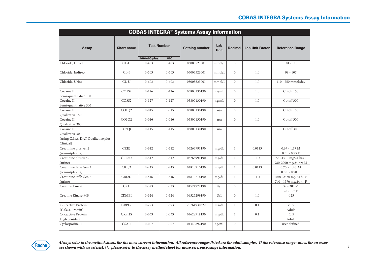|                                      | <b>COBAS INTEGRA® Systems Assay Information</b> |                                    |           |                       |                    |                  |                        |                        |  |  |  |  |
|--------------------------------------|-------------------------------------------------|------------------------------------|-----------|-----------------------|--------------------|------------------|------------------------|------------------------|--|--|--|--|
| <b>Assay</b>                         | <b>Short name</b>                               | <b>Test Number</b><br>400/400 plus | 800       | <b>Catalog number</b> | Lab<br><b>Unit</b> | <b>Decimal</b>   | <b>Lab Unit Factor</b> | <b>Reference Range</b> |  |  |  |  |
| Chloride, Direct                     | $CL-D$                                          | $0 - 403$                          | $0 - 403$ | 03003523001           | mmol/L             | $\Omega$         | 1.0                    | $101 - 110$            |  |  |  |  |
|                                      |                                                 |                                    |           |                       |                    |                  |                        |                        |  |  |  |  |
| Chloride, Indirect                   | $CL-I$                                          | $0 - 503$                          | $0 - 503$ | 03003523001           | mmol/L             | $\overline{0}$   | 1.0                    | $98 - 107$             |  |  |  |  |
| Chloride, Urine                      | $CL-U$                                          | $0 - 603$                          | $0 - 603$ | 03003523001           | mmol/L             | $\Omega$         | 1.0                    | 110 - 250 mmol/day     |  |  |  |  |
| Cocaine II                           | CO1S2                                           | $0 - 126$                          | $0 - 126$ | 03800130190           | ng/mL              | $\boldsymbol{0}$ | 1.0                    | Cutoff 150             |  |  |  |  |
| Semi-quantitative 150                |                                                 |                                    |           |                       |                    |                  |                        |                        |  |  |  |  |
| Cocaine II                           | CO3S2                                           | $0 - 127$                          | $0 - 127$ | 03800130190           | ng/mL              | $\mathbf{0}$     | 1.0                    | Cutoff 300             |  |  |  |  |
| Semi-quantitative 300                |                                                 |                                    |           |                       |                    |                  |                        |                        |  |  |  |  |
| Cocaine II                           | CO1Q2                                           | $0 - 015$                          | $0 - 015$ | 03800130190           | n/a                | $\mathbf{0}$     | 1.0                    | Cutoff 150             |  |  |  |  |
| Qualitative 150                      |                                                 |                                    |           |                       |                    |                  |                        |                        |  |  |  |  |
| Cocaine II                           | CO3Q2                                           | $0 - 016$                          | $0 - 016$ | 03800130190           | n/a                | $\mathbf{0}$     | 1.0                    | Cutoff 300             |  |  |  |  |
| Qualitative 300                      |                                                 |                                    |           |                       |                    |                  |                        |                        |  |  |  |  |
| Cocaine II                           | CO3QC                                           | $0 - 115$                          | $0 - 115$ | 03800130190           | n/a                | $\mathbf{0}$     | 1.0                    | Cutoff 300             |  |  |  |  |
| Oualitative 300                      |                                                 |                                    |           |                       |                    |                  |                        |                        |  |  |  |  |
| (using C.f.a.s. DAT Qualitative plus |                                                 |                                    |           |                       |                    |                  |                        |                        |  |  |  |  |
| Clinical)                            |                                                 |                                    |           |                       |                    |                  |                        |                        |  |  |  |  |
| Creatinine plus ver.2                | CRE2                                            | $0 - 612$                          | $0 - 612$ | 03263991190           | mg/dL              | $\mathbf{1}$     | 0.0113                 | $0.67 - 1.17 M$        |  |  |  |  |
| (serum/plasma)                       |                                                 |                                    |           |                       |                    |                  |                        | $0.51 - 0.95$ F        |  |  |  |  |
| Creatinine plus ver.2                | CRE2U                                           | $0 - 512$                          | $0 - 512$ | 03263991190           | mg/dL              | $\mathbf{1}$     | 11.3                   | 720-1510 mg/24 hrs F   |  |  |  |  |
| (urine)                              |                                                 |                                    |           |                       |                    |                  |                        | 980-2200 mg/24 hrs M   |  |  |  |  |
| Creatinine Jaffe Gen.2               | CREJ2                                           | $0 - 445$                          | $0 - 245$ | 04810716190           | mg/dL              | $\mathbf{1}$     | 0.0113                 | $0.70 - 1.20$ M        |  |  |  |  |
| (serum/plasma)                       |                                                 |                                    |           |                       |                    |                  |                        | $0.50 - 0.90$ F        |  |  |  |  |
| Creatinine Jaffe Gen.2               | CRJ2U                                           | $0 - 546$                          | $0 - 346$ | 04810716190           | mg/dL              | $\mathbf{1}$     | 11.3                   | 1040 -2350 mg/24 h M   |  |  |  |  |
| (urine)                              |                                                 |                                    |           |                       |                    |                  |                        | 740 - 1570 mg/24 h F   |  |  |  |  |
| Creatine Kinase                      | <b>CKL</b>                                      | $0 - 323$                          | $0 - 323$ | 04524977190           | U/L                | $\overline{0}$   | 1.0                    | 39 - 308 M             |  |  |  |  |
|                                      |                                                 |                                    |           |                       |                    |                  |                        | 26 - 192 F             |  |  |  |  |
| Creatine Kinase-MB                   | <b>CKMBL</b>                                    | $0 - 324$                          | $0 - 324$ | 04525299190           | U/L                | $\overline{0}$   | 1.0                    | < 25                   |  |  |  |  |
| C-Reactive Protein                   | CRPL2                                           | $0 - 293$                          | $0 - 393$ | 20764930322           | mg/dL              | $\mathbf{1}$     | 0.1                    | < 0.5                  |  |  |  |  |
| (C.f.a.s. Protein)                   |                                                 |                                    |           |                       |                    |                  |                        | Adult                  |  |  |  |  |
| C-Reactive Protein                   | <b>CRPHS</b>                                    | $0 - 033$                          | $0 - 033$ | 04628918190           | mg/dL              | $\mathbf{1}$     | 0.1                    | < 0.5                  |  |  |  |  |
| <b>High Sensitive</b>                |                                                 |                                    |           |                       |                    |                  |                        | Adult                  |  |  |  |  |
| Cyclosporine II                      | <b>CSAII</b>                                    | $0 - 007$                          | $0 - 007$ | 04340892190           | ng/mL              | $\mathbf{0}$     | 1.0                    | user defined           |  |  |  |  |
|                                      |                                                 |                                    |           |                       |                    |                  |                        |                        |  |  |  |  |

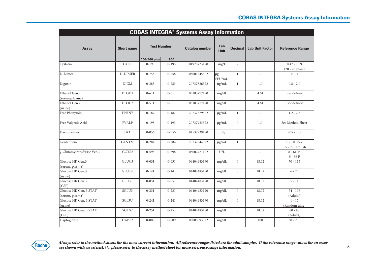|                                           |                   |              |                                             | <b>COBAS INTEGRA® Systems Assay Information</b> |                    |                |                        |                                            |
|-------------------------------------------|-------------------|--------------|---------------------------------------------|-------------------------------------------------|--------------------|----------------|------------------------|--------------------------------------------|
| <b>Assay</b>                              | <b>Short name</b> |              | <b>Test Number</b><br><b>Catalog number</b> |                                                 | Lab<br><b>Unit</b> | <b>Decimal</b> | <b>Lab Unit Factor</b> | <b>Reference Range</b>                     |
|                                           |                   | 400/400 plus | 800                                         |                                                 |                    |                |                        |                                            |
| Cystatin C                                | <b>CYSC</b>       | $0 - 195$    | $0 - 195$                                   | 04975723190                                     | mg/L               | $\overline{2}$ | 1.0                    | $0.47 - 1.09$<br>$(20 - 70 \text{ years})$ |
| D-Dimer                                   | <b>D-DIMER</b>    | $0 - 758$    | 0-758                                       | 03001245322                                     | $\mu$ g<br>FEU/mL  | $\mathbf{1}$   | 1.0                    | ${}_{0.5}$                                 |
| Digoxin                                   | <b>DIGM</b>       | $0 - 283$    | $0 - 283$                                   | 20737836322                                     | ng/mL              | $\mathbf{1}$   | 1.0                    | $0.8 - 2.0$                                |
| Ethanol Gen.2<br>(serum/plasma)           | ETOH2             | $0 - 611$    | $0 - 611$                                   | 03183777190                                     | mg/dL              | $\overline{0}$ | 4.61                   | user defined                               |
| Ethanol Gen.2<br>(urine)                  | ETOU2             | $0 - 511$    | $0 - 511$                                   | 03183777190                                     | mg/dL              | $\overline{0}$ | 4.61                   | user defined                               |
| Free Phenytoin                            | <b>FPHNY</b>      | $0 - 187$    | $0 - 187$                                   | 20737879322                                     | $\mu$ g/mL         | $\mathbf{1}$   | 1.0                    | $1.2 - 2.5$                                |
| Free Valproic Acid                        | <b>FVALP</b>      | $0-193$      | $0-193$                                     | 20737933322                                     | $\mu$ g/mL         | $\Omega$       | 1.0                    | See Method Sheet                           |
| Fructosamine                              | <b>FRA</b>        | $0 - 056$    | $0 - 056$                                   | 04537939190                                     | umol/L             | $\Omega$       | 1.0                    | $205 - 285$                                |
| Gentamicin                                | <b>GENTM</b>      | $0 - 284$    | $0 - 284$                                   | 20737844322                                     | $\mu$ g/mL         | $\mathbf{1}$   | 1.0                    | 6 - 10 Peak<br>0.5 - 2.0 Trough            |
| γ-Glutamytransferase Ver. 2               | GGTS2             | $0 - 598$    | $0 - 598$                                   | 03002721122                                     | U/L                | $\overline{0}$ | 1.0                    | $8 - 61$ M<br>$5 - 36F$                    |
| Glucose HK Gen.3<br>(serum, plasma)       | GLUC <sub>3</sub> | $0 - 031$    | $0 - 031$                                   | 04404483190                                     | mg/dL              | $\overline{0}$ | 18.02                  | $70 - 115$                                 |
| Glucose HK Gen.3<br>(urine)               | GLU3U             | $0-141$      | $0 - 141$                                   | 04404483190                                     | mg/dL              | $\overline{0}$ | 18.02                  | $6 - 20$                                   |
| Glucose HK Gen.3<br>(CSF)                 | GLU3C             | $0 - 051$    | $0 - 051$                                   | 04404483190                                     | mg/dL              | $\Omega$       | 18.02                  | $55 - 115$                                 |
| Glucose HK Gen. 3 STAT<br>(serum, plasma) | SGLU3             | $0 - 231$    | $0 - 231$                                   | 04404483190                                     | mg/dL              | $\overline{0}$ | 18.02                  | $74 - 106$<br>(Adults)                     |
| Glucose HK Gen. 3 STAT<br>(urine)         | SGL3U             | $0 - 241$    | $0 - 241$                                   | 04404483190                                     | mg/dL              | $\overline{0}$ | 18.02                  | $1 - 15$<br>(Random uine)                  |
| Glucose HK Gen. 3 STAT<br>(CSF)           | SGL3C             | $0 - 251$    | $0 - 251$                                   | 04404483190                                     | mg/dL              | $\overline{0}$ | 18.02                  | $60 - 80$<br>(Adults)                      |
| Haptoglobin                               | HAPT2             | $0 - 009$    | $0 - 009$                                   | 03005593322                                     | mg/dL              | $\overline{0}$ | 100                    | $30 - 200$                                 |

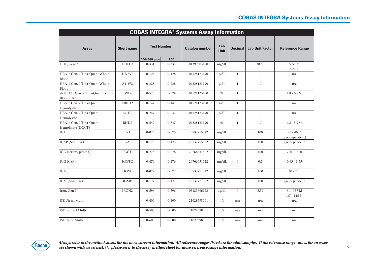|                                                 | <b>COBAS INTEGRA® Systems Assay Information</b> |                    |           |                       |                    |                |                                  |                                |  |  |  |  |
|-------------------------------------------------|-------------------------------------------------|--------------------|-----------|-----------------------|--------------------|----------------|----------------------------------|--------------------------------|--|--|--|--|
| <b>Assay</b>                                    | <b>Short name</b>                               | <b>Test Number</b> |           | <b>Catalog number</b> | Lab<br><b>Unit</b> |                | <b>Decimal   Lab Unit Factor</b> | <b>Reference Range</b>         |  |  |  |  |
|                                                 |                                                 | 400/400 plus       | 800       |                       |                    |                |                                  |                                |  |  |  |  |
| HDL, Gen. 3                                     | HDLC3                                           | $0 - 331$          | $0 - 333$ | 04399803190           | mg/dL              | $\Omega$       | 38.66                            | > 55 M<br>$>65$ F              |  |  |  |  |
| HBA1c Gen. 2 Tina-Quant Whole<br>Blood          | $HB-W2$                                         | $0 - 128$          | $0 - 128$ | 04528123190           | g/dL               | $\mathbf{1}$   | 1.0                              | n/a                            |  |  |  |  |
| HBA1c Gen. 2 Tina-Quant Whole<br>Blood          | $Al-W2$                                         | $0 - 228$          | $0 - 228$ | 04528123190           | g/dL               | $\mathbf{1}$   | 1.0                              | n/a                            |  |  |  |  |
| % HBA1c Gen. 2 Tina-Quant Whole<br>Blood (DCCT) | RWD <sub>2</sub>                                | $0 - 528$          | $0 - 528$ | 04528123190           | $\frac{0}{0}$      | $\mathbf{1}$   | 1.0                              | $4.8 - 5.9\%$                  |  |  |  |  |
| HBA1c Gen. 2 Tina-Quant<br>Hemolysate           | $HB-H2$                                         | $0 - 147$          | $0 - 147$ | 04528123190           | g/dL               | $\mathbf{1}$   | 1.0                              | n/a                            |  |  |  |  |
| HBA1c Gen. 2 Tina-Quant<br>Hemolysate           | $AI-H2$                                         | $0 - 247$          | $0 - 247$ | 04528123190           | g/dL               | $\mathbf{1}$   | 1.0                              | n/a                            |  |  |  |  |
| HBA1c Gen. 2 Tina-Quant<br>Hemolysate (DCCT)    | RHD <sub>2</sub>                                | $0 - 547$          | $0 - 547$ | 04528123190           | $\frac{0}{0}$      | $\mathbf{1}$   | 1.0                              | $4.8 - 5.9 %$                  |  |  |  |  |
| <b>IGA</b>                                      | <b>IGA</b>                                      | $0 - 075$          | $0 - 075$ | 20737755322           | mg/dL              | $\overline{0}$ | 100                              | $70 - 400*$<br>(age dependent) |  |  |  |  |
| IGAP (Sensitive)                                | <b>IGAP</b>                                     | $0 - 175$          | $0 - 175$ | 20737755322           | mg/dL              | $\overline{0}$ | 100                              | age dependent                  |  |  |  |  |
| IGG (serum, plasma)                             | <b>IGGT</b>                                     | $0 - 276$          | $0 - 276$ | 20766631322           | mg/dL              | $\overline{0}$ | 100                              | $700 - 1600$                   |  |  |  |  |
| IGG (CSF)                                       | <b>IGGTC</b>                                    | $0 - 476$          | $0 - 476$ | 20766631322           | mg/dL              | $\overline{0}$ | 0.1                              | $0.63 - 3.35$                  |  |  |  |  |
| <b>IGM</b>                                      | <b>IGM</b>                                      | $0 - 077$          | $0 - 077$ | 20737771322           | mg/dL              | $\Omega$       | 100                              | $40 - 230$                     |  |  |  |  |
| IGM (Sensitive)                                 | <b>IGMP</b>                                     | $0-177$            | $0-177$   | 20737771322           | mg/dL              | $\overline{0}$ | 100                              | age dependent                  |  |  |  |  |
| Iron, Gen 2                                     | IRON2                                           | $0 - 596$          | $0 - 596$ | 03183696122           | $\mu$ g/dL         | $\overline{0}$ | 5.59                             | $61 - 157$ M<br>37 - 145 F     |  |  |  |  |
| <b>ISE</b> Direct Multi                         |                                                 | $0 - 400$          | $0 - 400$ | 21029398001           | n/a                | n/a            | n/a                              | n/a                            |  |  |  |  |
| <b>ISE</b> Indirect Multi                       |                                                 | $0 - 500$          | $0 - 500$ | 21029398001           | n/a                | n/a            | n/a                              | n/a                            |  |  |  |  |
| <b>ISE Urine Multi</b>                          |                                                 | $0 - 600$          | $0 - 600$ | 21029398001           | n/a                | n/a            | n/a                              | n/a                            |  |  |  |  |

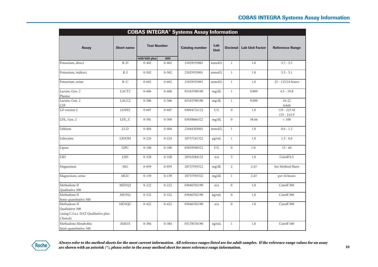|                                                                                      |                   |                           |                  | <b>COBAS INTEGRA<sup>®</sup> Systems Assay Information</b> |                    |                  |                        |                              |
|--------------------------------------------------------------------------------------|-------------------|---------------------------|------------------|------------------------------------------------------------|--------------------|------------------|------------------------|------------------------------|
| <b>Assay</b>                                                                         | <b>Short name</b> | <b>Test Number</b>        |                  | <b>Catalog number</b>                                      | Lab<br><b>Unit</b> | <b>Decimal</b>   | <b>Lab Unit Factor</b> | <b>Reference Range</b>       |
| Potassium, direct                                                                    | $K-D$             | 400/400 plus<br>$0 - 402$ | 800<br>$0 - 402$ | 21029355001                                                | mmol/L             | $\mathbf{1}$     | 1.0                    | $3.7 - 5.5$                  |
|                                                                                      |                   |                           |                  |                                                            |                    |                  |                        |                              |
| Potassium, indirect                                                                  | $K-I$             | $0 - 502$                 | $0 - 502$        | 21029355001                                                | mmol/L             | $\mathbf{1}$     | 1.0                    | $3.5 - 5.1$                  |
| Potassium, urine                                                                     | $K-U$             | $0 - 602$                 | $0 - 602$        | 21029355001                                                | mmol/L             | $\mathbf{1}$     | 1.0                    | 25 - 125/24 hours            |
| Lactate, Gen. 2<br>Plasma                                                            | LACT2             | $0 - 606$                 | $0 - 606$        | 03183700190                                                | mg/dL              | $\mathbf{1}$     | 9.009                  | $4.5 - 19.8$                 |
| Lactate, Gen. 2<br>CSF                                                               | LACC <sub>2</sub> | $0 - 506$                 | $0 - 506$        | 03183700190                                                | mg/dL              | $\mathbf{1}$     | 9.009                  | $10 - 22$<br>Adult           |
| LD version 2                                                                         | LDHI2             | $0 - 607$                 | $0 - 607$        | 03004732122                                                | U/L                | $\mathbf{0}$     | 1.0                    | 135 - 225 M<br>$135 - 214 F$ |
| LDL, Gen. 2                                                                          | $LDL_C$           | $0 - 301$                 | $0 - 300$        | 03038866322                                                | mg/dL              | $\theta$         | 38.66                  | ${}< 100$                    |
| Lithium                                                                              | $_{\rm LI-D}$     | $0 - 404$                 | $0 - 404$        | 21044303001                                                | mmol/L             | $\mathbf{1}$     | 1.0                    | $0.6 - 1.2$                  |
| Lidocaine                                                                            | <b>LIDOM</b>      | $0 - 224$                 | $0 - 224$        | 20757241322                                                | $\mu$ g/mL         | 1                | 1.0                    | $1.5 - 6.0$                  |
| Lipase                                                                               | <b>LIPC</b>       | $0 - 100$                 | $0 - 100$        | 03029590322                                                | U/L                | $\boldsymbol{0}$ | 1.0                    | $13 - 60$                    |
| <b>LSD</b>                                                                           | <b>LSD</b>        | $0 - 328$                 | $0 - 328$        | 20763284122                                                | n/a                | 3                | 1.0                    | Cutoff <sub>0.5</sub>        |
| Magnesium                                                                            | <b>MG</b>         | $0 - 059$                 | $0 - 059$        | 20737593322                                                | mg/dL              | $\overline{2}$   | 2.43                   | See Method Sheet             |
| Magnesium, urine                                                                     | <b>MGU</b>        | $0 - 159$                 | $0 - 159$        | 20737593322                                                | mg/dL              | $\mathbf{1}$     | 2.43                   | per 24 hours                 |
| Methadone II<br>Qualitative 300                                                      | MD3Q2             | $0 - 222$                 | $0 - 222$        | 03046702190                                                | n/a                | $\boldsymbol{0}$ | 1.0                    | Cutoff 300                   |
| Methadone II<br>Semi-quantitative 300                                                | MD3S2             | $0 - 322$                 | $0 - 322$        | 03046702190                                                | ng/mL              | $\mathbf{0}$     | 1.0                    | Cutoff 300                   |
| Methadone II<br>Qualitative 300<br>(using C.f.a.s. DAT Qualitative plus<br>Clinical) | MD3QC             | $0 - 422$                 | $0 - 422$        | 03046702190                                                | n/a                | $\boldsymbol{0}$ | 1.0                    | Cutoff 300                   |
| Methadone Metabolite<br>Semi-quantitative 100                                        | MM1S              | $0 - 384$                 | $0 - 384$        | 05178576190                                                | ng/mL              | $\mathbf{1}$     | 1.0                    | Cutoff 100                   |

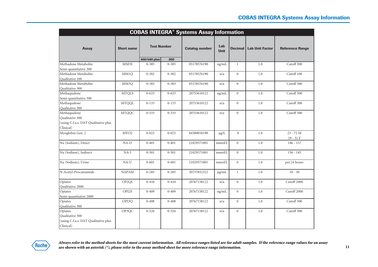| <b>COBAS INTEGRA® Systems Assay Information</b>                                      |                   |              |                                             |             |                    |                  |                        |                         |  |  |
|--------------------------------------------------------------------------------------|-------------------|--------------|---------------------------------------------|-------------|--------------------|------------------|------------------------|-------------------------|--|--|
| <b>Assay</b>                                                                         | <b>Short name</b> |              | <b>Test Number</b><br><b>Catalog number</b> |             | Lab<br><b>Unit</b> | Decimal          | <b>Lab Unit Factor</b> | <b>Reference Range</b>  |  |  |
|                                                                                      |                   | 400/400 plus | 800                                         |             |                    |                  |                        |                         |  |  |
| Methadone Metabolite<br>Semi-quantitative 300                                        | MM3S              | $0 - 385$    | $0 - 385$                                   | 05178576190 | ng/mL              | $\mathbf{1}$     | 1.0                    | Cutoff 300              |  |  |
| Methadone Metabolite<br>Qualitative 100                                              | MM1Q              | $0 - 382$    | $0 - 382$                                   | 05178576190 | n/a                | $\overline{0}$   | 1.0                    | Cutoff 100              |  |  |
| Methadone Metabolite<br>Qualitative 300                                              | MM <sub>3</sub> O | $0 - 383$    | $0 - 383$                                   | 05178576190 | n/a                | $\overline{0}$   | 1.0                    | Cutoff 300              |  |  |
| Methaqualone<br>Semi-quantitative 300                                                | <b>MTQLS</b>      | $0 - 633$    | $0 - 633$                                   | 20753610122 | ng/mL              | $\overline{0}$   | 1.0                    | Cutoff 300              |  |  |
| Methaqualone<br>Qualitative 300                                                      | <b>MTQQL</b>      | $0 - 133$    | $0 - 133$                                   | 20753610122 | n/a                | $\mathbf{0}$     | 1.0                    | Cutoff 300              |  |  |
| Methaqualone<br>Qualitative 300<br>(using C.f.a.s. DAT Qualitative plus<br>Clinical) | <b>MTQQC</b>      | $0 - 533$    | $0 - 533$                                   | 20753610122 | n/a                | $\overline{0}$   | 1.0                    | Cutoff 300              |  |  |
| Myoglobin Gen. 2                                                                     | MYO <sub>2</sub>  | $0 - 023$    | $0 - 023$                                   | 04580010190 | $\mu g/L$          | $\mathbf{0}$     | 1.0                    | 23 - 72 M<br>$19 - 51F$ |  |  |
| Na (Sodium), Direct                                                                  | $NA-D$            | $0 - 401$    | $0 - 401$                                   | 21029371001 | mmol/L             | $\theta$         | 1.0                    | $146 - 157$             |  |  |
| Na (Sodium), Indirect                                                                | $NA-I$            | $0 - 501$    | $0 - 501$                                   | 21029371001 | mmol/L             | $\overline{0}$   | 1.0                    | $136 - 145$             |  |  |
| Na (Sodium), Urine                                                                   | $NA-U$            | $0 - 601$    | $0 - 601$                                   | 21029371001 | mmol/L             | $\overline{0}$   | 1.0                    | per 24 hours            |  |  |
| N-Acetyl-Procainamide                                                                | <b>NAPAM</b>      | $0 - 285$    | $0 - 285$                                   | 20737852322 | $\mu$ g/mL         | $\mathbf{1}$     | 1.0                    | $10 - 30$               |  |  |
| Opiates<br>Qualitative 2000                                                          | OP2QL             | $0 - 410$    | $0 - 410$                                   | 20767158122 | n/a                | $\mathbf{0}$     | 1.0                    | Cutoff 2000             |  |  |
| Opiates<br>Semi-quantitative 2000                                                    | OPI2S             | $0 - 409$    | $0 - 409$                                   | 20767158122 | ng/mL              | $\boldsymbol{0}$ | 1.0                    | Cutoff 2000             |  |  |
| Opiates<br>Qualitative 300                                                           | OPI3Q             | $0 - 408$    | $0 - 408$                                   | 20767158122 | n/a                | $\overline{0}$   | 1.0                    | Cutoff 300              |  |  |
| Opiates<br>Qualitative 300<br>(using C.f.a.s. DAT Qualitative plus<br>Clinical)      | OP3QC             | $0 - 526$    | $0 - 526$                                   | 20767158122 | n/a                | $\overline{0}$   | 1.0                    | Cutoff 300              |  |  |

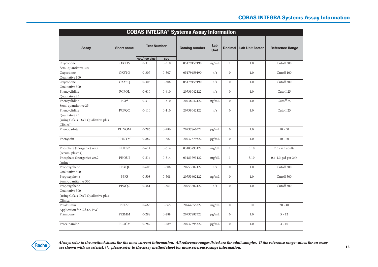|                                                | <b>COBAS INTEGRA® Systems Assay Information</b> |                    |           |                       |                    |                  |                        |                        |  |  |  |
|------------------------------------------------|-------------------------------------------------|--------------------|-----------|-----------------------|--------------------|------------------|------------------------|------------------------|--|--|--|
| Assay                                          | <b>Short name</b>                               | <b>Test Number</b> |           | <b>Catalog number</b> | Lab<br><b>Unit</b> | <b>Decimal</b>   | <b>Lab Unit Factor</b> | <b>Reference Range</b> |  |  |  |
|                                                | OXY3S                                           | 400/400 plus       | 800       |                       |                    | $\mathbf{1}$     | 1.0                    | Cutoff 300             |  |  |  |
| Oxycodone<br>Semi-quantiative 300              |                                                 | $0 - 310$          | $0 - 310$ | 05179459190           | ng/mL              |                  |                        |                        |  |  |  |
| Oxycodone                                      | OXY1Q                                           | $0 - 307$          | $0 - 307$ | 05179459190           | n/a                | $\Omega$         | 1.0                    | Cutoff 100             |  |  |  |
| Qualitative 100                                |                                                 |                    |           |                       |                    |                  |                        |                        |  |  |  |
| Oxycodone                                      | OXY3Q                                           | $0 - 308$          | $0 - 308$ | 05179459190           | n/a                | $\boldsymbol{0}$ | 1.0                    | Cutoff 300             |  |  |  |
| Qualitative 300                                |                                                 |                    |           |                       |                    |                  |                        |                        |  |  |  |
| Phencyclidine                                  | PCPQL                                           | $0 - 610$          | $0 - 610$ | 20738042122           | n/a                | $\mathbf{0}$     | 1.0                    | Cutoff <sub>25</sub>   |  |  |  |
| Qualitative 25                                 |                                                 |                    |           |                       |                    |                  |                        |                        |  |  |  |
| Phencyclidine                                  | <b>PCPS</b>                                     | $0 - 510$          | $0 - 510$ | 20738042122           | ng/mL              | $\mathbf{0}$     | 1.0                    | Cutoff <sub>25</sub>   |  |  |  |
| Semi-quantitative 25                           |                                                 |                    |           |                       |                    |                  |                        |                        |  |  |  |
| Phencyclidine                                  | <b>PCPQC</b>                                    | $0 - 110$          | $0 - 110$ | 20738042122           | n/a                | $\mathbf{0}$     | 1.0                    | Cutoff <sub>25</sub>   |  |  |  |
| Qualitative 25                                 |                                                 |                    |           |                       |                    |                  |                        |                        |  |  |  |
| (using C.f.a.s. DAT Qualitative plus           |                                                 |                    |           |                       |                    |                  |                        |                        |  |  |  |
| Clinical)                                      |                                                 |                    |           |                       |                    |                  |                        |                        |  |  |  |
| Phenobarbital                                  | <b>PHNOM</b>                                    | $0 - 286$          | $0 - 286$ | 20737860322           | $\mu$ g/mL         | $\mathbf{0}$     | 1.0                    | $10 - 30$              |  |  |  |
| Phenytoin                                      | <b>PHNYM</b>                                    | $0 - 887$          | $0 - 887$ | 20737879322           | $\mu$ g/mL         | $\mathbf{0}$     | 1.0                    | $10 - 20$              |  |  |  |
| Phosphate (Inorganic) ver.2                    | PHOS2                                           | $0 - 614$          | $0 - 614$ | 03183793122           | mg/dL              | $\mathbf{1}$     | 3.10                   | 2.5 - 4.5 adults       |  |  |  |
| (serum, plasma)<br>Phosphate (Inorganic) ver.2 | PHOU2                                           |                    |           |                       |                    |                  |                        |                        |  |  |  |
| (urine)                                        |                                                 | $0 - 514$          | $0 - 514$ | 03183793122           | mg/dL              | $\mathbf{1}$     | 3.10                   | 0.4-1.3 g/d per 24h    |  |  |  |
| Propoxyphene                                   | PPXQL                                           | $0 - 608$          | $0 - 608$ | 20753602122           | n/a                | $\Omega$         | 1.0                    | Cutoff 300             |  |  |  |
| Qualitative 300                                |                                                 |                    |           |                       |                    |                  |                        |                        |  |  |  |
| Propoxyphene                                   | <b>PPXS</b>                                     | $0 - 508$          | $0 - 508$ | 20753602122           | ng/mL              | $\Omega$         | 1.0                    | Cutoff 300             |  |  |  |
| Semi-quantitative 300                          |                                                 |                    |           |                       |                    |                  |                        |                        |  |  |  |
| Propoxyphene                                   | PPXQC                                           | $0 - 361$          | $0 - 361$ | 20753602122           | n/a                | $\mathbf{0}$     | 1.0                    | Cutoff 300             |  |  |  |
| Qualitative 300                                |                                                 |                    |           |                       |                    |                  |                        |                        |  |  |  |
| (using C.f.a.s. DAT Qualitative plus           |                                                 |                    |           |                       |                    |                  |                        |                        |  |  |  |
| Clinical)                                      |                                                 |                    |           |                       |                    |                  |                        |                        |  |  |  |
| Prealbumin                                     | PREA3                                           | $0 - 665$          | $0 - 665$ | 20764655322           | mg/dL              | $\mathbf{0}$     | 100                    | $20 - 40$              |  |  |  |
| Application for C.f.a.s. PAC                   |                                                 |                    |           |                       |                    |                  |                        |                        |  |  |  |
| Primidone                                      | <b>PRIMM</b>                                    | $0 - 288$          | $0 - 288$ | 20737887322           | $\mu$ g/mL         | $\mathbf{0}$     | 1.0                    | $5 - 12$               |  |  |  |
| Procainamide                                   | <b>PROCM</b>                                    | $0 - 289$          | $0 - 289$ | 20737895322           | $\mu$ g/mL         | $\Omega$         | 1.0                    | $4 - 10$               |  |  |  |

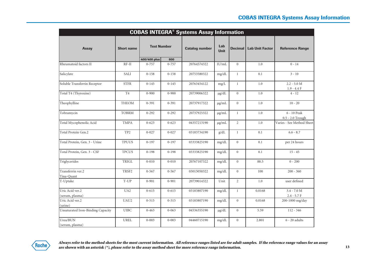|                                    | <b>COBAS INTEGRA® Systems Assay Information</b> |                    |           |                       |                    |                |                        |                                   |  |  |  |  |
|------------------------------------|-------------------------------------------------|--------------------|-----------|-----------------------|--------------------|----------------|------------------------|-----------------------------------|--|--|--|--|
| <b>Assay</b>                       | <b>Short name</b>                               | <b>Test Number</b> |           | <b>Catalog number</b> | Lab<br><b>Unit</b> | <b>Decimal</b> | <b>Lab Unit Factor</b> | <b>Reference Range</b>            |  |  |  |  |
|                                    |                                                 | 400/400 plus       | 800       |                       |                    |                |                        |                                   |  |  |  |  |
| Rheumatoid factors II              | $RF-II$                                         | $0 - 757$          | $0 - 757$ | 20764574322           | IU/mL              | $\overline{0}$ | 1.0                    | $0 - 14$                          |  |  |  |  |
| Salicylate                         | SALI                                            | $0 - 158$          | $0 - 158$ | 20753580322           | mg/dL              | $\mathbf{1}$   | 0.1                    | $3 - 10$                          |  |  |  |  |
| Soluble Transferrin Receptor       | <b>STFR</b>                                     | $0 - 145$          | $0 - 145$ | 20763454122           | mg/L               | $\mathbf{1}$   | 1.0                    | $2.2 - 5.0 M$<br>$1.9 - 4.4 F$    |  |  |  |  |
| Total T4 (Thyroxine)               | T <sub>4</sub>                                  | $0 - 900$          | $0 - 900$ | 20739006322           | $\mu$ g/dL         | $\overline{0}$ | 1.0                    | $4 - 12$                          |  |  |  |  |
| Theophylline                       | <b>THEOM</b>                                    | $0 - 391$          | $0 - 391$ | 20737917322           | $\mu$ g/mL         | $\overline{0}$ | 1.0                    | $10 - 20$                         |  |  |  |  |
| Tobramycin                         | <b>TOBRM</b>                                    | $0 - 292$          | $0 - 292$ | 20737925322           | $\mu$ g/mL         | $\mathbf{1}$   | 1.0                    | $6 - 10$ Peak<br>0.5 - 2.0 Trough |  |  |  |  |
| Total Mycophenolic Acid            | <b>TMPA</b>                                     | $0 - 623$          | $0 - 623$ | 04357213190           | $\mu$ g/mL         | $\overline{2}$ | 1.0                    | Varies - See Method Sheet         |  |  |  |  |
| Total Protein Gen.2                | TP <sub>2</sub>                                 | $0 - 027$          | $0 - 027$ | 03183734190           | g/dL               | $\mathbf{1}$   | 0.1                    | $6.6 - 8.7$                       |  |  |  |  |
| Total Protein, Gen. 3 - Urine      | <b>TPUUS</b>                                    | $0 - 197$          | $0 - 197$ | 03333825190           | mg/dL              | $\overline{0}$ | 0.1                    | per 24 hours                      |  |  |  |  |
| Total Protein, Gen. 3 - CSF        | <b>TPCUS</b>                                    | $0 - 198$          | $0 - 198$ | 03333825190           | mg/dL              | $\overline{0}$ | 0.1                    | $15 - 45$                         |  |  |  |  |
| Triglycerides                      | TRIGL                                           | $0 - 010$          | $0 - 010$ | 20767107322           | mg/dL              | $\overline{0}$ | 88.5                   | $0 - 200$                         |  |  |  |  |
| Transferrin ver.2<br>Tina-Quant    | TRSF2                                           | $0 - 567$          | $0 - 567$ | 03015050322           | mg/dL              | $\overline{0}$ | 100                    | $200 - 360$                       |  |  |  |  |
| T-Uptake                           | T-UP                                            | $0 - 901$          | $0 - 901$ | 20739014322           | Unit               | $\overline{2}$ | 1.0                    | user defined                      |  |  |  |  |
| Uric Acid ver.2<br>(serum, plasma) | UA <sub>2</sub>                                 | $0 - 615$          | $0 - 615$ | 03183807190           | mg/dL              | $\mathbf{1}$   | 0.0168                 | $3.4 - 7.0 M$<br>$2.4 - 5.7 F$    |  |  |  |  |
| Uric Acid ver.2<br>(urine)         | UAU2                                            | $0 - 515$          | $0 - 515$ | 03183807190           | mg/dL              | $\theta$       | 0.0168                 | 200-1000 mg/day                   |  |  |  |  |
| Unsaturated Iron-Binding Capacity  | <b>UIBC</b>                                     | $0 - 463$          | $0 - 063$ | 04536355190           | $\mu$ g/dL         | $\overline{0}$ | 5.59                   | $112 - 346$                       |  |  |  |  |
| Urea/BUN<br>(serum, plasma)        | UREL                                            | $0 - 003$          | $0 - 003$ | 04460715190           | mg/dL              | $\overline{0}$ | 2.801                  | $6 - 20$ adults                   |  |  |  |  |